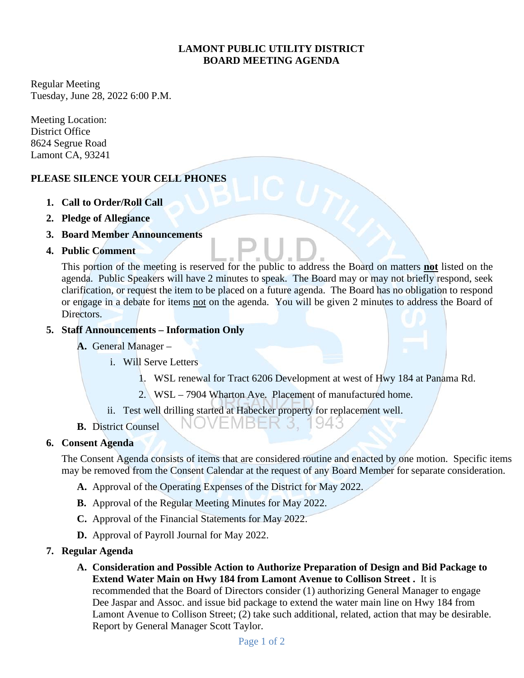## **LAMONT PUBLIC UTILITY DISTRICT BOARD MEETING AGENDA**

Regular Meeting Tuesday, June 28, 2022 6:00 P.M.

Meeting Location: District Office 8624 Segrue Road Lamont CA, 93241

# **PLEASE SILENCE YOUR CELL PHONES**

- **1. Call to Order/Roll Call**
- **2. Pledge of Allegiance**
- **3. Board Member Announcements**
- **4. Public Comment**

This portion of the meeting is reserved for the public to address the Board on matters **not** listed on the agenda. Public Speakers will have 2 minutes to speak. The Board may or may not briefly respond, seek clarification, or request the item to be placed on a future agenda. The Board has no obligation to respond or engage in a debate for items not on the agenda. You will be given 2 minutes to address the Board of Directors.

### **5. Staff Announcements – Information Only**

- **A.** General Manager
	- i. Will Serve Letters
		- 1. WSL renewal for Tract 6206 Development at west of Hwy 184 at Panama Rd.

94.3

- 2. WSL 7904 Wharton Ave. Placement of manufactured home.
- ii. Test well drilling started at Habecker property for replacement well.

NOVEMBER 3.

**B.** District Counsel

# **6. Consent Agenda**

The Consent Agenda consists of items that are considered routine and enacted by one motion. Specific items may be removed from the Consent Calendar at the request of any Board Member for separate consideration.

- **A.** Approval of the Operating Expenses of the District for May 2022.
- **B.** Approval of the Regular Meeting Minutes for May 2022.
- **C.** Approval of the Financial Statements for May 2022.
- **D.** Approval of Payroll Journal for May 2022.

#### **7. Regular Agenda**

**A. Consideration and Possible Action to Authorize Preparation of Design and Bid Package to Extend Water Main on Hwy 184 from Lamont Avenue to Collison Street .** It is recommended that the Board of Directors consider (1) authorizing General Manager to engage Dee Jaspar and Assoc. and issue bid package to extend the water main line on Hwy 184 from Lamont Avenue to Collison Street; (2) take such additional, related, action that may be desirable. Report by General Manager Scott Taylor.